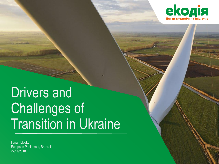

### Transition in Ukraine розміру, чи що мається на увазі? Drivers and Challenges of Transition in Ukraine

European Parliament, Brussels<br>22/11/2018 Iryna Holovko 22/11/2018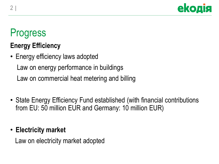

### Progress

### **Energy Efficiency**

- Energy efficiency laws adopted Law on energy performance in buildings Law on commercial heat metering and billing
- State Energy Efficiency Fund established (with financial contributions from EU: 50 million EUR and Germany: 10 million EUR)

### • **Electricity market**

Law on electricity market adopted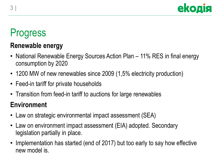

## Progress

### **Renewable energy**

- National Renewable Energy Sources Action Plan 11% RES in final energy consumption by 2020
- 1200 MW of new renewables since 2009 (1,5% electricity production)
- Feed-in tariff for private households
- Transition from feed-in tariff to auctions for large renewables

### **Environment**

- Law on strategic environmental impact assessment (SEA)
- Law on environment impact assessment (EIA) adopted. Secondary legislation partially in place.
- Implementation has started (end of 2017) but too early to say how effective new model is.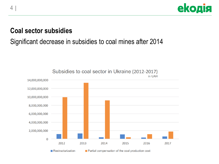

#### **Coal sector subsidies**

### Significant decrease in subsidies to coal mines after 2014



4 |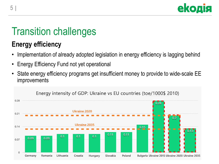

# Transition challenges

### **Energy efficiency**

- Implementation of already adopted legislation in energy efficiency is lagging behind
- Energy Efficiency Fund not yet operational
- State energy efficiency programs get insufficient money to provide to wide-scale EE improvements

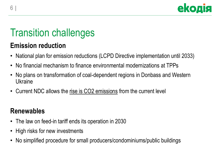

# Transition challenges

### **Emission reduction**

- National plan for emission reductions (LCPD Directive implementation until 2033)
- No financial mechanism to finance environmental modernizations at TPPs
- No plans on transformation of coal-dependent regions in Donbass and Western **Ukraine**
- Current NDC allows the rise is CO2 emissions from the current level

### **Renewables**

- The law on feed-in tariff ends its operation in 2030
- High risks for new investments
- No simplified procedure for small producers/condominiums/public buildings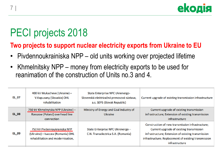

## PECI projects 2018

#### **Two projects to support nuclear electricity exports from Ukraine to EU**

- Pivdennoukrainiska NPP old units working over projected lifetime
- Khmelnitsky NPP money from electricity exports to be used for reanimation of the construction of Units no.3 and 4.

| EL_07        | 400 kV Mukacheve (Ukraine) -<br>V.Kapusany (Slovakia) OHL<br>rehabilitation                            | State Enterprise NPC Ukrenergo-<br>Slovenská elektrizačná prenosová sústava,<br>a.s. SEPS (Slovak Republic) | Current upgrade of existing transmission infrastructure                                                                                                                                                                      |
|--------------|--------------------------------------------------------------------------------------------------------|-------------------------------------------------------------------------------------------------------------|------------------------------------------------------------------------------------------------------------------------------------------------------------------------------------------------------------------------------|
| <b>EL_08</b> | 750 kV Khmelnytska NPP (Ukraine) -<br>Rzeszow (Poland) overhead line<br>connection                     | Ministry of Energy and Coal Industry of<br><b>Ukraine</b>                                                   | Current upgrade of existing transmission<br>infrastructure; Extension of existing transmission<br>infrastructure                                                                                                             |
| <b>EL 09</b> | 750 kV Pivdennoukrainska NPP<br>(Ukraine) - Isaccea (Romania) OHL<br>rehabilitation and modernisation, | State Enterprise NPC Ukrenergo -<br>C.N. Transelectrica S.A. (Romania)                                      | Construction of new transmission infrastructure;<br>Current upgrade of existing transmission<br>infrastructure; Extension of existing transmission<br>infrastructure; Replacement of existing transmission<br>infrastructure |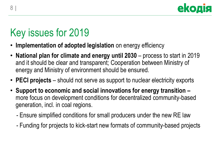

# Key issues for 2019

- **Implementation of adopted legislation** on energy efficiency
- **National plan for climate and energy until 2030**  process to start in 2019 and it should be clear and transparent; Cooperation between Ministry of energy and Ministry of environment should be ensured.
- **PECI projects**  should not serve as support to nuclear electricity exports
- **Support to economic and social innovations for energy transition –** more focus on development conditions for decentralized community-based generation, incl. in coal regions.
	- Ensure simplified conditions for small producers under the new RE law
	- Funding for projects to kick-start new formats of community-based projects